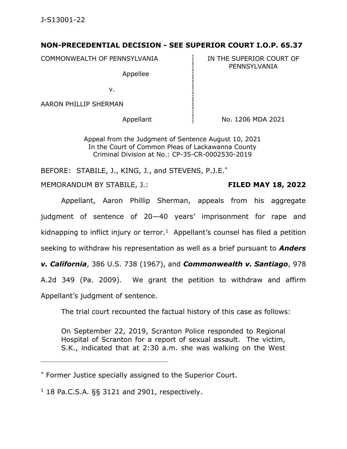## **NON-PRECEDENTIAL DECISION - SEE SUPERIOR COURT I.O.P. 65.37**

COMMONWEALTH OF PENNSYLVANIA  $\qquad \qquad \vdots$  IN THE SUPERIOR COURT OF

Appellee

PENNSYLVANIA

v.

AARON PHILLIP SHERMAN

Appellant i No. 1206 MDA 2021

Appeal from the Judgment of Sentence August 10, 2021 In the Court of Common Pleas of Lackawanna County Criminal Division at No.: CP-35-CR-0002530-2019

BEFORE: STABILE, J., KING, J., and STEVENS, P.J.E.\*

MEMORANDUM BY STABILE, J.: **FILED MAY 18, 2022**

Appellant, Aaron Phillip Sherman, appeals from his aggregate judgment of sentence of 20—40 years' imprisonment for rape and kidnapping to inflict injury or terror.<sup>1</sup> Appellant's counsel has filed a petition seeking to withdraw his representation as well as a brief pursuant to *Anders v. California*, 386 U.S. 738 (1967), and *Commonwealth v. Santiago*, 978 A.2d 349 (Pa. 2009). We grant the petition to withdraw and affirm Appellant's judgment of sentence.

The trial court recounted the factual history of this case as follows:

On September 22, 2019, Scranton Police responded to Regional Hospital of Scranton for a report of sexual assault. The victim, S.K., indicated that at 2:30 a.m. she was walking on the West

 $1$  18 Pa.C.S.A. §§ 3121 and 2901, respectively.

\_\_\_\_\_\_\_\_\_\_\_\_\_\_\_\_\_\_\_\_\_\_\_\_\_\_\_\_\_\_\_\_\_\_\_\_\_\_\_\_\_\_\_\_

<sup>\*</sup> Former Justice specially assigned to the Superior Court.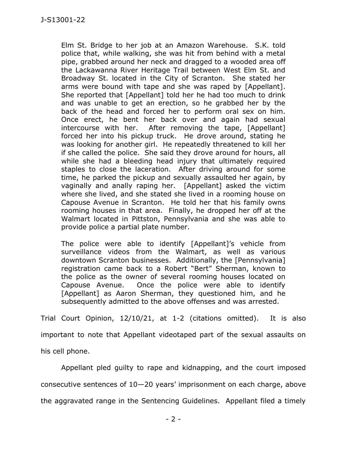Elm St. Bridge to her job at an Amazon Warehouse. S.K. told police that, while walking, she was hit from behind with a metal pipe, grabbed around her neck and dragged to a wooded area off the Lackawanna River Heritage Trail between West Elm St. and Broadway St. located in the City of Scranton. She stated her arms were bound with tape and she was raped by [Appellant]. She reported that [Appellant] told her he had too much to drink and was unable to get an erection, so he grabbed her by the back of the head and forced her to perform oral sex on him. Once erect, he bent her back over and again had sexual intercourse with her. After removing the tape, [Appellant] forced her into his pickup truck. He drove around, stating he was looking for another girl. He repeatedly threatened to kill her if she called the police. She said they drove around for hours, all while she had a bleeding head injury that ultimately required staples to close the laceration. After driving around for some time, he parked the pickup and sexually assaulted her again, by vaginally and anally raping her. [Appellant] asked the victim where she lived, and she stated she lived in a rooming house on Capouse Avenue in Scranton. He told her that his family owns rooming houses in that area. Finally, he dropped her off at the Walmart located in Pittston, Pennsylvania and she was able to provide police a partial plate number.

The police were able to identify [Appellant]'s vehicle from surveillance videos from the Walmart, as well as various downtown Scranton businesses. Additionally, the [Pennsylvania] registration came back to a Robert "Bert" Sherman, known to the police as the owner of several rooming houses located on Capouse Avenue. Once the police were able to identify [Appellant] as Aaron Sherman, they questioned him, and he subsequently admitted to the above offenses and was arrested.

Trial Court Opinion, 12/10/21, at 1-2 (citations omitted). It is also important to note that Appellant videotaped part of the sexual assaults on his cell phone.

Appellant pled guilty to rape and kidnapping, and the court imposed consecutive sentences of 10—20 years' imprisonment on each charge, above the aggravated range in the Sentencing Guidelines. Appellant filed a timely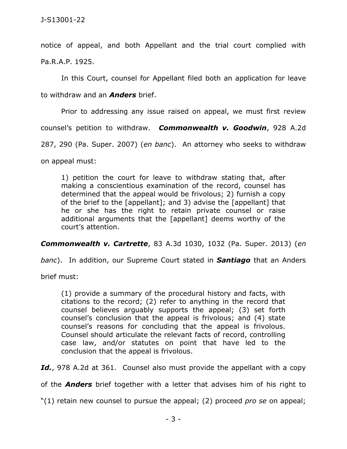notice of appeal, and both Appellant and the trial court complied with Pa.R.A.P. 1925.

In this Court, counsel for Appellant filed both an application for leave to withdraw and an *Anders* brief.

Prior to addressing any issue raised on appeal, we must first review

counsel's petition to withdraw. *Commonwealth v. Goodwin*, 928 A.2d

287, 290 (Pa. Super. 2007) (*en banc*). An attorney who seeks to withdraw

on appeal must:

1) petition the court for leave to withdraw stating that, after making a conscientious examination of the record, counsel has determined that the appeal would be frivolous; 2) furnish a copy of the brief to the [appellant]; and 3) advise the [appellant] that he or she has the right to retain private counsel or raise additional arguments that the [appellant] deems worthy of the court's attention.

*Commonwealth v. Cartrette*, 83 A.3d 1030, 1032 (Pa. Super. 2013) (*en* 

*banc*). In addition, our Supreme Court stated in *Santiago* that an Anders

brief must:

(1) provide a summary of the procedural history and facts, with citations to the record; (2) refer to anything in the record that counsel believes arguably supports the appeal; (3) set forth counsel's conclusion that the appeal is frivolous; and (4) state counsel's reasons for concluding that the appeal is frivolous. Counsel should articulate the relevant facts of record, controlling case law, and/or statutes on point that have led to the conclusion that the appeal is frivolous.

Id., 978 A.2d at 361. Counsel also must provide the appellant with a copy

of the *Anders* brief together with a letter that advises him of his right to

"(1) retain new counsel to pursue the appeal; (2) proceed *pro se* on appeal;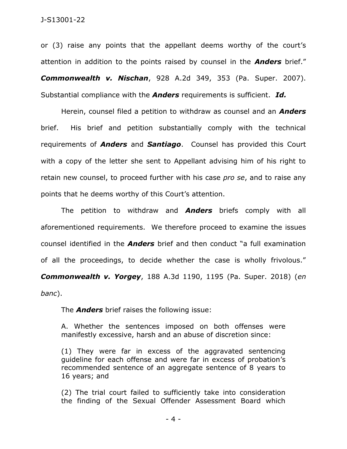or (3) raise any points that the appellant deems worthy of the court's attention in addition to the points raised by counsel in the *Anders* brief." *Commonwealth v. Nischan*, 928 A.2d 349, 353 (Pa. Super. 2007). Substantial compliance with the *Anders* requirements is sufficient. *Id.*

Herein, counsel filed a petition to withdraw as counsel and an *Anders* brief. His brief and petition substantially comply with the technical requirements of *Anders* and *Santiago*. Counsel has provided this Court with a copy of the letter she sent to Appellant advising him of his right to retain new counsel, to proceed further with his case *pro se*, and to raise any points that he deems worthy of this Court's attention.

The petition to withdraw and *Anders* briefs comply with all aforementioned requirements. We therefore proceed to examine the issues counsel identified in the *Anders* brief and then conduct "a full examination of all the proceedings, to decide whether the case is wholly frivolous." *Commonwealth v. Yorgey*, 188 A.3d 1190, 1195 (Pa. Super. 2018) (*en banc*).

The *Anders* brief raises the following issue:

A. Whether the sentences imposed on both offenses were manifestly excessive, harsh and an abuse of discretion since:

(1) They were far in excess of the aggravated sentencing guideline for each offense and were far in excess of probation's recommended sentence of an aggregate sentence of 8 years to 16 years; and

(2) The trial court failed to sufficiently take into consideration the finding of the Sexual Offender Assessment Board which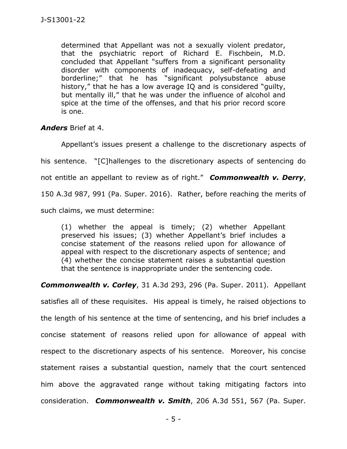determined that Appellant was not a sexually violent predator, that the psychiatric report of Richard E. Fischbein, M.D. concluded that Appellant "suffers from a significant personality disorder with components of inadequacy, self-defeating and borderline;" that he has "significant polysubstance abuse history," that he has a low average IQ and is considered "guilty, but mentally ill," that he was under the influence of alcohol and spice at the time of the offenses, and that his prior record score is one.

*Anders* Brief at 4.

Appellant's issues present a challenge to the discretionary aspects of his sentence. "[C]hallenges to the discretionary aspects of sentencing do not entitle an appellant to review as of right." *Commonwealth v. Derry*, 150 A.3d 987, 991 (Pa. Super. 2016). Rather, before reaching the merits of such claims, we must determine:

(1) whether the appeal is timely; (2) whether Appellant preserved his issues; (3) whether Appellant's brief includes a concise statement of the reasons relied upon for allowance of appeal with respect to the discretionary aspects of sentence; and (4) whether the concise statement raises a substantial question that the sentence is inappropriate under the sentencing code.

*Commonwealth v. Corley*, 31 A.3d 293, 296 (Pa. Super. 2011). Appellant

satisfies all of these requisites. His appeal is timely, he raised objections to the length of his sentence at the time of sentencing, and his brief includes a concise statement of reasons relied upon for allowance of appeal with respect to the discretionary aspects of his sentence. Moreover, his concise statement raises a substantial question, namely that the court sentenced him above the aggravated range without taking mitigating factors into consideration. *Commonwealth v. Smith*, 206 A.3d 551, 567 (Pa. Super.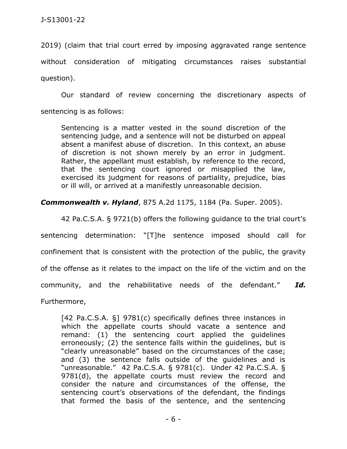2019) (claim that trial court erred by imposing aggravated range sentence without consideration of mitigating circumstances raises substantial question).

Our standard of review concerning the discretionary aspects of sentencing is as follows:

Sentencing is a matter vested in the sound discretion of the sentencing judge, and a sentence will not be disturbed on appeal absent a manifest abuse of discretion. In this context, an abuse of discretion is not shown merely by an error in judgment. Rather, the appellant must establish, by reference to the record, that the sentencing court ignored or misapplied the law, exercised its judgment for reasons of partiality, prejudice, bias or ill will, or arrived at a manifestly unreasonable decision.

*Commonwealth v. Hyland*, 875 A.2d 1175, 1184 (Pa. Super. 2005).

42 Pa.C.S.A. § 9721(b) offers the following guidance to the trial court's sentencing determination: "[T]he sentence imposed should call for confinement that is consistent with the protection of the public, the gravity of the offense as it relates to the impact on the life of the victim and on the community, and the rehabilitative needs of the defendant." *Id.*  Furthermore,

[42 Pa.C.S.A. §] 9781(c) specifically defines three instances in which the appellate courts should vacate a sentence and remand: (1) the sentencing court applied the guidelines erroneously; (2) the sentence falls within the guidelines, but is "clearly unreasonable" based on the circumstances of the case; and (3) the sentence falls outside of the guidelines and is "unreasonable." 42 Pa.C.S.A. § 9781(c). Under 42 Pa.C.S.A. § 9781(d), the appellate courts must review the record and consider the nature and circumstances of the offense, the sentencing court's observations of the defendant, the findings that formed the basis of the sentence, and the sentencing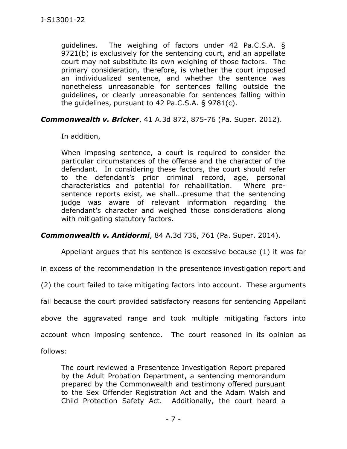guidelines. The weighing of factors under 42 Pa.C.S.A. § 9721(b) is exclusively for the sentencing court, and an appellate court may not substitute its own weighing of those factors. The primary consideration, therefore, is whether the court imposed an individualized sentence, and whether the sentence was nonetheless unreasonable for sentences falling outside the guidelines, or clearly unreasonable for sentences falling within the guidelines, pursuant to 42 Pa.C.S.A. § 9781(c).

## *Commonwealth v. Bricker*, 41 A.3d 872, 875-76 (Pa. Super. 2012).

In addition,

When imposing sentence, a court is required to consider the particular circumstances of the offense and the character of the defendant. In considering these factors, the court should refer to the defendant's prior criminal record, age, personal characteristics and potential for rehabilitation. Where presentence reports exist, we shall...presume that the sentencing judge was aware of relevant information regarding the defendant's character and weighed those considerations along with mitigating statutory factors.

*Commonwealth v. Antidormi*, 84 A.3d 736, 761 (Pa. Super. 2014).

Appellant argues that his sentence is excessive because (1) it was far

in excess of the recommendation in the presentence investigation report and

(2) the court failed to take mitigating factors into account. These arguments

fail because the court provided satisfactory reasons for sentencing Appellant

above the aggravated range and took multiple mitigating factors into

account when imposing sentence. The court reasoned in its opinion as

follows:

The court reviewed a Presentence Investigation Report prepared by the Adult Probation Department, a sentencing memorandum prepared by the Commonwealth and testimony offered pursuant to the Sex Offender Registration Act and the Adam Walsh and Child Protection Safety Act. Additionally, the court heard a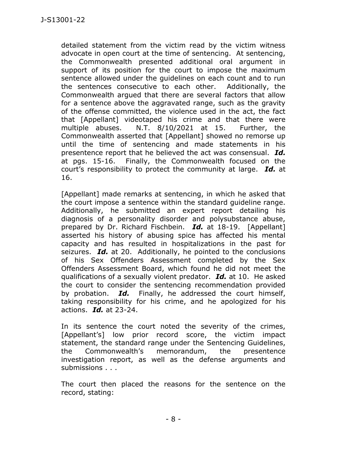detailed statement from the victim read by the victim witness advocate in open court at the time of sentencing. At sentencing, the Commonwealth presented additional oral argument in support of its position for the court to impose the maximum sentence allowed under the guidelines on each count and to run the sentences consecutive to each other. Additionally, the Commonwealth argued that there are several factors that allow for a sentence above the aggravated range, such as the gravity of the offense committed, the violence used in the act, the fact that [Appellant] videotaped his crime and that there were multiple abuses. N.T. 8/10/2021 at 15. Further, the Commonwealth asserted that [Appellant] showed no remorse up until the time of sentencing and made statements in his presentence report that he believed the act was consensual. *Id.* at pgs. 15-16. Finally, the Commonwealth focused on the court's responsibility to protect the community at large. *Id.* at 16.

[Appellant] made remarks at sentencing, in which he asked that the court impose a sentence within the standard guideline range. Additionally, he submitted an expert report detailing his diagnosis of a personality disorder and polysubstance abuse, prepared by Dr. Richard Fischbein. *Id.* at 18-19. [Appellant] asserted his history of abusing spice has affected his mental capacity and has resulted in hospitalizations in the past for seizures. *Id.* at 20. Additionally, he pointed to the conclusions of his Sex Offenders Assessment completed by the Sex Offenders Assessment Board, which found he did not meet the qualifications of a sexually violent predator. *Id.* at 10. He asked the court to consider the sentencing recommendation provided by probation. *Id.* Finally, he addressed the court himself, taking responsibility for his crime, and he apologized for his actions. *Id.* at 23-24.

In its sentence the court noted the severity of the crimes, [Appellant's] low prior record score, the victim impact statement, the standard range under the Sentencing Guidelines, the Commonwealth's memorandum, the presentence investigation report, as well as the defense arguments and submissions . . .

The court then placed the reasons for the sentence on the record, stating: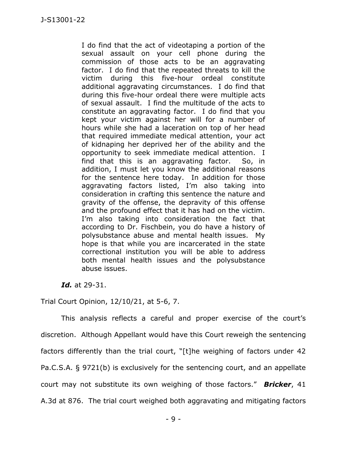I do find that the act of videotaping a portion of the sexual assault on your cell phone during the commission of those acts to be an aggravating factor. I do find that the repeated threats to kill the victim during this five-hour ordeal constitute additional aggravating circumstances. I do find that during this five-hour ordeal there were multiple acts of sexual assault. I find the multitude of the acts to constitute an aggravating factor. I do find that you kept your victim against her will for a number of hours while she had a laceration on top of her head that required immediate medical attention, your act of kidnaping her deprived her of the ability and the opportunity to seek immediate medical attention. I find that this is an aggravating factor. So, in addition, I must let you know the additional reasons for the sentence here today. In addition for those aggravating factors listed, I'm also taking into consideration in crafting this sentence the nature and gravity of the offense, the depravity of this offense and the profound effect that it has had on the victim. I'm also taking into consideration the fact that according to Dr. Fischbein, you do have a history of polysubstance abuse and mental health issues. My hope is that while you are incarcerated in the state correctional institution you will be able to address both mental health issues and the polysubstance abuse issues.

*Id.* at 29-31.

Trial Court Opinion, 12/10/21, at 5-6, 7.

This analysis reflects a careful and proper exercise of the court's discretion. Although Appellant would have this Court reweigh the sentencing factors differently than the trial court, "[t]he weighing of factors under 42 Pa.C.S.A. § 9721(b) is exclusively for the sentencing court, and an appellate court may not substitute its own weighing of those factors." *Bricker*, 41 A.3d at 876. The trial court weighed both aggravating and mitigating factors